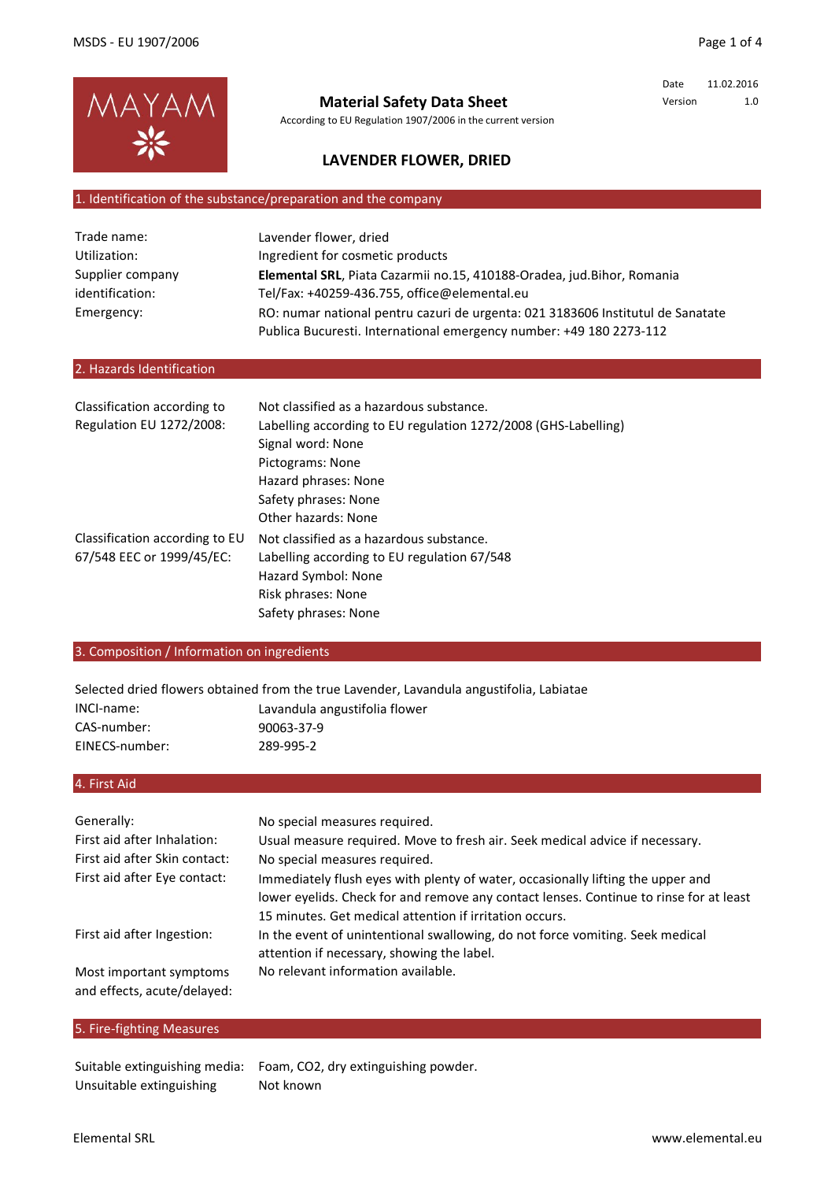

## **Material Safety Data Sheet**

According to EU Regulation 1907/2006 in the current version

Date 11.02.2016 Version 1.0

## **LAVENDER FLOWER, DRIED**

### 1. Identification of the substance/preparation and the company

| Trade name:      | Lavender flower, dried                                                          |
|------------------|---------------------------------------------------------------------------------|
| Utilization:     | Ingredient for cosmetic products                                                |
| Supplier company | Elemental SRL, Piata Cazarmii no.15, 410188-Oradea, jud.Bihor, Romania          |
| identification:  | Tel/Fax: +40259-436.755, office@elemental.eu                                    |
| Emergency:       | RO: numar national pentru cazuri de urgenta: 021 3183606 Institutul de Sanatate |
|                  | Publica Bucuresti. International emergency number: +49 180 2273-112             |

### 2. Hazards Identification

| Classification according to<br>Regulation EU 1272/2008: | Not classified as a hazardous substance.<br>Labelling according to EU regulation 1272/2008 (GHS-Labelling)<br>Signal word: None<br>Pictograms: None |
|---------------------------------------------------------|-----------------------------------------------------------------------------------------------------------------------------------------------------|
|                                                         | Hazard phrases: None                                                                                                                                |
|                                                         | Safety phrases: None                                                                                                                                |
|                                                         | Other hazards: None                                                                                                                                 |
| Classification according to EU                          | Not classified as a hazardous substance.                                                                                                            |
| 67/548 EEC or 1999/45/EC:                               | Labelling according to EU regulation 67/548                                                                                                         |
|                                                         | Hazard Symbol: None                                                                                                                                 |
|                                                         | Risk phrases: None                                                                                                                                  |
|                                                         | Safety phrases: None                                                                                                                                |

### 3. Composition / Information on ingredients

Selected dried flowers obtained from the true Lavender, Lavandula angustifolia, Labiatae

| INCI-name:     | Lavandula angustifolia flower |
|----------------|-------------------------------|
| CAS-number:    | 90063-37-9                    |
| EINECS-number: | 289-995-2                     |

4. First Aid

| Generally:                                             | No special measures required.                                                          |
|--------------------------------------------------------|----------------------------------------------------------------------------------------|
| First aid after Inhalation:                            | Usual measure required. Move to fresh air. Seek medical advice if necessary.           |
| First aid after Skin contact:                          | No special measures required.                                                          |
| First aid after Eye contact:                           | Immediately flush eyes with plenty of water, occasionally lifting the upper and        |
|                                                        | lower eyelids. Check for and remove any contact lenses. Continue to rinse for at least |
|                                                        | 15 minutes. Get medical attention if irritation occurs.                                |
| First aid after Ingestion:                             | In the event of unintentional swallowing, do not force vomiting. Seek medical          |
|                                                        | attention if necessary, showing the label.                                             |
| Most important symptoms<br>and effects, acute/delayed: | No relevant information available.                                                     |

### 5. Fire-fighting Measures

Unsuitable extinguishing

Suitable extinguishing media: Foam, CO2, dry extinguishing powder. Not known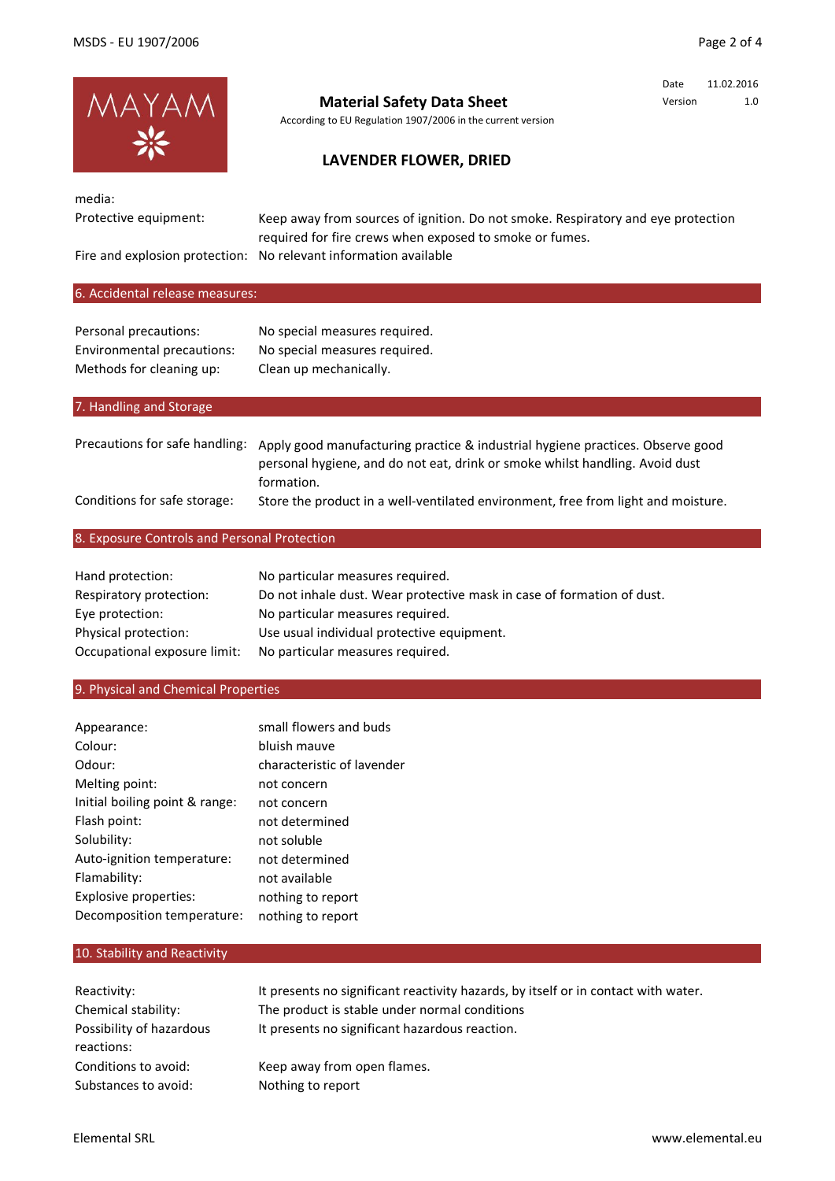

# **Material Safety Data Sheet**

According to EU Regulation 1907/2006 in the current version

## Date 11.02.2016 Version 1.0

## **LAVENDER FLOWER, DRIED**

| media:<br>Protective equipment:                                                 | Keep away from sources of ignition. Do not smoke. Respiratory and eye protection<br>required for fire crews when exposed to smoke or fumes.<br>Fire and explosion protection: No relevant information available |
|---------------------------------------------------------------------------------|-----------------------------------------------------------------------------------------------------------------------------------------------------------------------------------------------------------------|
| 6. Accidental release measures:                                                 |                                                                                                                                                                                                                 |
| Personal precautions:<br>Environmental precautions:<br>Methods for cleaning up: | No special measures required.<br>No special measures required.<br>Clean up mechanically.                                                                                                                        |
| 7. Handling and Storage                                                         |                                                                                                                                                                                                                 |
| Precautions for safe handling:                                                  | Apply good manufacturing practice & industrial hygiene practices. Observe good<br>personal hygiene, and do not eat, drink or smoke whilst handling. Avoid dust<br>formation.                                    |
| Conditions for safe storage:                                                    | Store the product in a well-ventilated environment, free from light and moisture.                                                                                                                               |
| 8. Exposure Controls and Personal Protection                                    |                                                                                                                                                                                                                 |

| Hand protection:             | No particular measures required.                                       |
|------------------------------|------------------------------------------------------------------------|
| Respiratory protection:      | Do not inhale dust. Wear protective mask in case of formation of dust. |
| Eye protection:              | No particular measures required.                                       |
| Physical protection:         | Use usual individual protective equipment.                             |
| Occupational exposure limit: | No particular measures required.                                       |

## 9. Physical and Chemical Properties

| Appearance:                    | small flowers and buds     |
|--------------------------------|----------------------------|
| Colour:                        | bluish mauve               |
| Odour:                         | characteristic of lavender |
| Melting point:                 | not concern                |
| Initial boiling point & range: | not concern                |
| Flash point:                   | not determined             |
| Solubility:                    | not soluble                |
| Auto-ignition temperature:     | not determined             |
| Flamability:                   | not available              |
| Explosive properties:          | nothing to report          |
| Decomposition temperature:     | nothing to report          |

## 10. Stability and Reactivity

| Reactivity:                            | It presents no significant reactivity hazards, by itself or in contact with water. |
|----------------------------------------|------------------------------------------------------------------------------------|
| Chemical stability:                    | The product is stable under normal conditions                                      |
| Possibility of hazardous<br>reactions: | It presents no significant hazardous reaction.                                     |
| Conditions to avoid:                   | Keep away from open flames.                                                        |
| Substances to avoid:                   | Nothing to report                                                                  |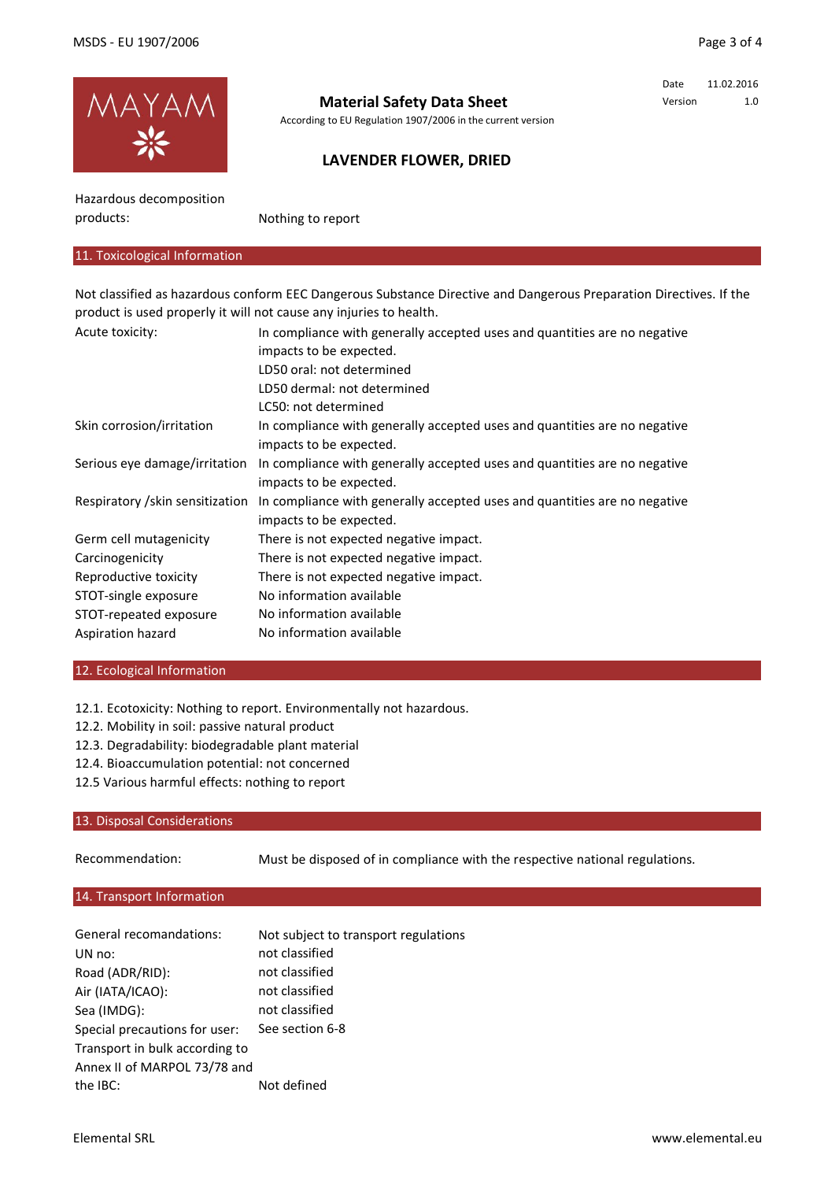Date 11.02.2016 Version 1.0



## **Material Safety Data Sheet**

According to EU Regulation 1907/2006 in the current version

## **LAVENDER FLOWER, DRIED**

Hazardous decomposition products:

Nothing to report

### 11. Toxicological Information

Not classified as hazardous conform EEC Dangerous Substance Directive and Dangerous Preparation Directives. If the product is used properly it will not cause any injuries to health.

| Acute toxicity:                  | In compliance with generally accepted uses and quantities are no negative |
|----------------------------------|---------------------------------------------------------------------------|
|                                  | impacts to be expected.                                                   |
|                                  | LD50 oral: not determined                                                 |
|                                  | LD50 dermal: not determined                                               |
|                                  | LC50: not determined                                                      |
| Skin corrosion/irritation        | In compliance with generally accepted uses and quantities are no negative |
|                                  | impacts to be expected.                                                   |
| Serious eye damage/irritation    | In compliance with generally accepted uses and quantities are no negative |
|                                  | impacts to be expected.                                                   |
| Respiratory / skin sensitization | In compliance with generally accepted uses and quantities are no negative |
|                                  | impacts to be expected.                                                   |
| Germ cell mutagenicity           | There is not expected negative impact.                                    |
| Carcinogenicity                  | There is not expected negative impact.                                    |
| Reproductive toxicity            | There is not expected negative impact.                                    |
| STOT-single exposure             | No information available                                                  |
| STOT-repeated exposure           | No information available                                                  |
| Aspiration hazard                | No information available                                                  |

#### 12. Ecological Information

12.1. Ecotoxicity: Nothing to report. Environmentally not hazardous.

- 12.2. Mobility in soil: passive natural product
- 12.3. Degradability: biodegradable plant material
- 12.4. Bioaccumulation potential: not concerned
- 12.5 Various harmful effects: nothing to report

### 13. Disposal Considerations

Recommendation:

Must be disposed of in compliance with the respective national regulations.

### 14. Transport Information

| General recomandations:        | Not subject to transport regulations |
|--------------------------------|--------------------------------------|
| UN no:                         | not classified                       |
| Road (ADR/RID):                | not classified                       |
| Air (IATA/ICAO):               | not classified                       |
| Sea (IMDG):                    | not classified                       |
| Special precautions for user:  | See section 6-8                      |
| Transport in bulk according to |                                      |
| Annex II of MARPOL 73/78 and   |                                      |
| the IBC:                       | Not defined                          |